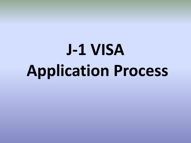# **J-1 VISA Application Process**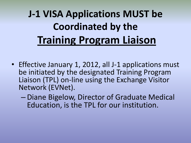# **J-1 VISA Applications MUST be Coordinated by the Training Program Liaison**

- Effective January 1, 2012, all J-1 applications must be initiated by the designated Training Program Liaison (TPL) on-line using the Exchange Visitor Network (EVNet).
	- Diane Bigelow, Director of Graduate Medical Education, is the TPL for our institution.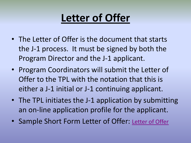#### **Letter of Offer**

- The Letter of Offer is the document that starts the J-1 process. It must be signed by both the Program Director and the J-1 applicant.
- Program Coordinators will submit the Letter of Offer to the TPL with the notation that this is either a J-1 initial or J-1 continuing applicant.
- The TPL initiates the J-1 application by submitting an on-line application profile for the applicant.
- Sample Short Form Letter of Offer: [Letter of Offer](http://gme.medicine.arizona.edu/content/program-directors-and-coordinators)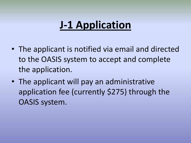#### **J-1 Application**

- The applicant is notified via email and directed to the OASIS system to accept and complete the application.
- The applicant will pay an administrative application fee (currently \$275) through the OASIS system.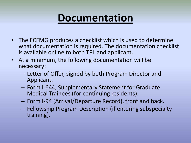#### **Documentation**

- The ECFMG produces a checklist which is used to determine what documentation is required. The documentation checklist is available online to both TPL and applicant.
- At a minimum, the following documentation will be necessary:
	- Letter of Offer, signed by both Program Director and Applicant.
	- Form I-644, Supplementary Statement for Graduate Medical Trainees (for continuing residents).
	- Form I-94 (Arrival/Departure Record), front and back.
	- Fellowship Program Description (if entering subspecialty training).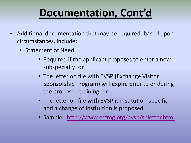### **Documentation, Cont'd**

- Additional documentation that may be required, based upon circumstances, include:
	- Statement of Need
		- Required if the applicant proposes to enter a new subspecialty; or
		- The letter on file with EVSP (Exchange Visitor Sponsorship Program) will expire prior to or during the proposed training; or
		- The letter on file with EVSP is institution-specific and a change of institution is proposed.
		- Sample: <http://www.ecfmg.org/evsp/snletter.html>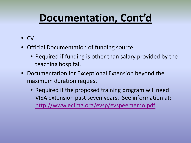#### **Documentation, Cont'd**

- CV
- Official Documentation of funding source.
	- Required if funding is other than salary provided by the teaching hospital.
- Documentation for Exceptional Extension beyond the maximum duration request.
	- Required if the proposed training program will need VISA extension past seven years. See information at: <http://www.ecfmg.org/evsp/evspeememo.pdf>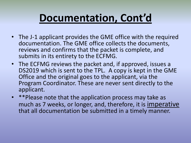#### **Documentation, Cont'd**

- The J-1 applicant provides the GME office with the required documentation. The GME office collects the documents, reviews and confirms that the packet is complete, and submits in its entirety to the ECFMG.
- The ECFMG reviews the packet and, if approved, issues a DS2019 which is sent to the TPL. A copy is kept in the GME Office and the original goes to the applicant, via the Program Coordinator. These are never sent directly to the applicant.
- \*\*Please note that the application process may take as much as 7 weeks, or longer, and, therefore, it is imperative that all documentation be submitted in a timely manner.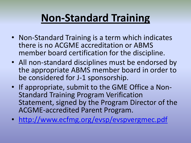### **Non-Standard Training**

- Non-Standard Training is a term which indicates there is no ACGME accreditation or ABMS member board certification for the discipline.
- All non-standard disciplines must be endorsed by the appropriate ABMS member board in order to be considered for J-1 sponsorship.
- If appropriate, submit to the GME Office a Non-Standard Training Program Verification Statement, signed by the Program Director of the ACGME-accredited Parent Program.
- <http://www.ecfmg.org/evsp/evspvergmec.pdf>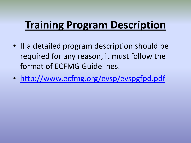### **Training Program Description**

- If a detailed program description should be required for any reason, it must follow the format of ECFMG Guidelines.
- <http://www.ecfmg.org/evsp/evspgfpd.pdf>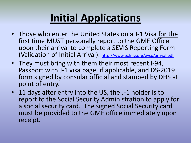# **Initial Applications**

- Those who enter the United States on a J-1 Visa for the first time MUST personally report to the GME Office upon their arrival to complete a SEVIS Reporting Form (Validation of Initial Arrival). <http://www.ecfmg.org/evsp/arrival.pdf>
- They must bring with them their most recent I-94, Passport with J-1 visa page, if applicable, and DS-2019 form signed by consular official and stamped by DHS at point of entry.
- 11 days after entry into the US, the J-1 holder is to report to the Social Security Administration to apply for a social security card. The signed Social Security card must be provided to the GME office immediately upon receipt.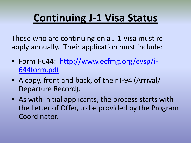### **Continuing J-1 Visa Status**

Those who are continuing on a J-1 Visa must reapply annually. Their application must include:

- Form I-644: [http://www.ecfmg.org/evsp/i-](http://www.ecfmg.org/evsp/i-644form.pdf)[644form.pdf](http://www.ecfmg.org/evsp/i-644form.pdf)
- A copy, front and back, of their I-94 (Arrival/ Departure Record).
- As with initial applicants, the process starts with the Letter of Offer, to be provided by the Program Coordinator.